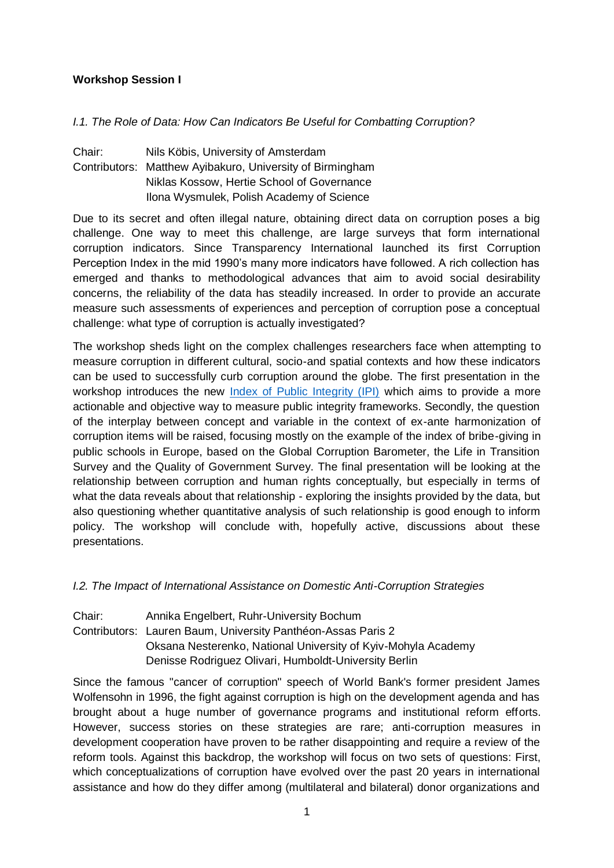## **Workshop Session I**

### *I.1. The Role of Data: How Can Indicators Be Useful for Combatting Corruption?*

Chair: Nils Köbis, University of Amsterdam Contributors: Matthew Ayibakuro, University of Birmingham Niklas Kossow, Hertie School of Governance Ilona Wysmulek, Polish Academy of Science

Due to its secret and often illegal nature, obtaining direct data on corruption poses a big challenge. One way to meet this challenge, are large surveys that form international corruption indicators. Since Transparency International launched its first Corruption Perception Index in the mid 1990's many more indicators have followed. A rich collection has emerged and thanks to methodological advances that aim to avoid social desirability concerns, the reliability of the data has steadily increased. In order to provide an accurate measure such assessments of experiences and perception of corruption pose a conceptual challenge: what type of corruption is actually investigated?

The workshop sheds light on the complex challenges researchers face when attempting to measure corruption in different cultural, socio-and spatial contexts and how these indicators can be used to successfully curb corruption around the globe. The first presentation in the workshop introduces the new [Index of Public Integrity \(IPI\)](http://integrity-index.org/) which aims to provide a more actionable and objective way to measure public integrity frameworks. Secondly, the question of the interplay between concept and variable in the context of ex-ante harmonization of corruption items will be raised, focusing mostly on the example of the index of bribe-giving in public schools in Europe, based on the Global Corruption Barometer, the Life in Transition Survey and the Quality of Government Survey. The final presentation will be looking at the relationship between corruption and human rights conceptually, but especially in terms of what the data reveals about that relationship - exploring the insights provided by the data, but also questioning whether quantitative analysis of such relationship is good enough to inform policy. The workshop will conclude with, hopefully active, discussions about these presentations.

*I.2. The Impact of International Assistance on Domestic Anti-Corruption Strategies*

Chair: Annika Engelbert, Ruhr-University Bochum Contributors: Lauren Baum, University Panthéon-Assas Paris 2 Oksana Nesterenko, National University of Kyiv-Mohyla Academy Denisse Rodriguez Olivari, Humboldt-University Berlin

Since the famous "cancer of corruption" speech of World Bank's former president James Wolfensohn in 1996, the fight against corruption is high on the development agenda and has brought about a huge number of governance programs and institutional reform efforts. However, success stories on these strategies are rare; anti-corruption measures in development cooperation have proven to be rather disappointing and require a review of the reform tools. Against this backdrop, the workshop will focus on two sets of questions: First, which conceptualizations of corruption have evolved over the past 20 years in international assistance and how do they differ among (multilateral and bilateral) donor organizations and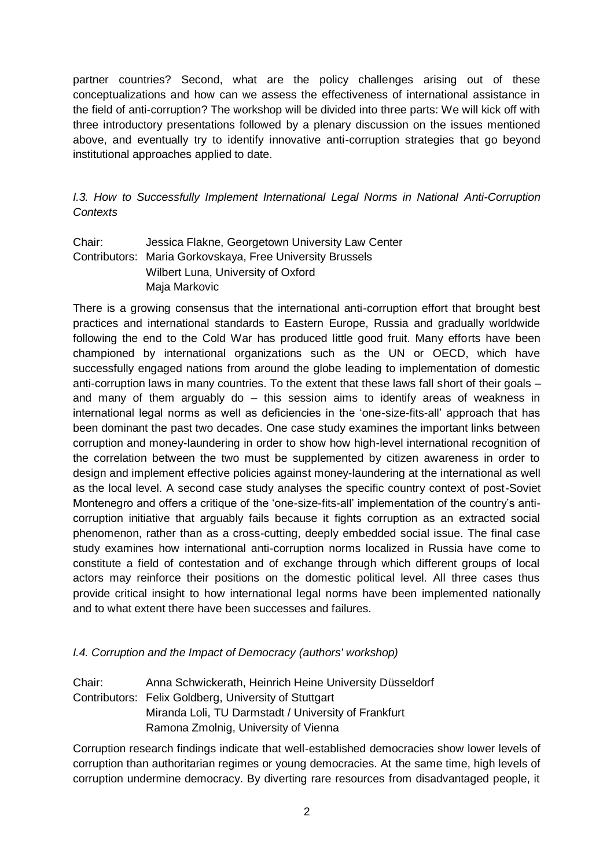partner countries? Second, what are the policy challenges arising out of these conceptualizations and how can we assess the effectiveness of international assistance in the field of anti-corruption? The workshop will be divided into three parts: We will kick off with three introductory presentations followed by a plenary discussion on the issues mentioned above, and eventually try to identify innovative anti-corruption strategies that go bevond institutional approaches applied to date.

*I.3. How to Successfully Implement International Legal Norms in National Anti-Corruption Contexts*

Chair: Jessica Flakne, Georgetown University Law Center Contributors: Maria Gorkovskaya, Free University Brussels Wilbert Luna, University of Oxford Maja Markovic

There is a growing consensus that the international anti-corruption effort that brought best practices and international standards to Eastern Europe, Russia and gradually worldwide following the end to the Cold War has produced little good fruit. Many efforts have been championed by international organizations such as the UN or OECD, which have successfully engaged nations from around the globe leading to implementation of domestic anti-corruption laws in many countries. To the extent that these laws fall short of their goals – and many of them arguably do – this session aims to identify areas of weakness in international legal norms as well as deficiencies in the 'one-size-fits-all' approach that has been dominant the past two decades. One case study examines the important links between corruption and money-laundering in order to show how high-level international recognition of the correlation between the two must be supplemented by citizen awareness in order to design and implement effective policies against money-laundering at the international as well as the local level. A second case study analyses the specific country context of post-Soviet Montenegro and offers a critique of the 'one-size-fits-all' implementation of the country's anticorruption initiative that arguably fails because it fights corruption as an extracted social phenomenon, rather than as a cross-cutting, deeply embedded social issue. The final case study examines how international anti-corruption norms localized in Russia have come to constitute a field of contestation and of exchange through which different groups of local actors may reinforce their positions on the domestic political level. All three cases thus provide critical insight to how international legal norms have been implemented nationally and to what extent there have been successes and failures.

### *I.4. Corruption and the Impact of Democracy (authors' workshop)*

Chair: Anna Schwickerath, Heinrich Heine University Düsseldorf Contributors: Felix Goldberg, University of Stuttgart Miranda Loli, TU Darmstadt / University of Frankfurt Ramona Zmolnig, University of Vienna

Corruption research findings indicate that well-established democracies show lower levels of corruption than authoritarian regimes or young democracies. At the same time, high levels of corruption undermine democracy. By diverting rare resources from disadvantaged people, it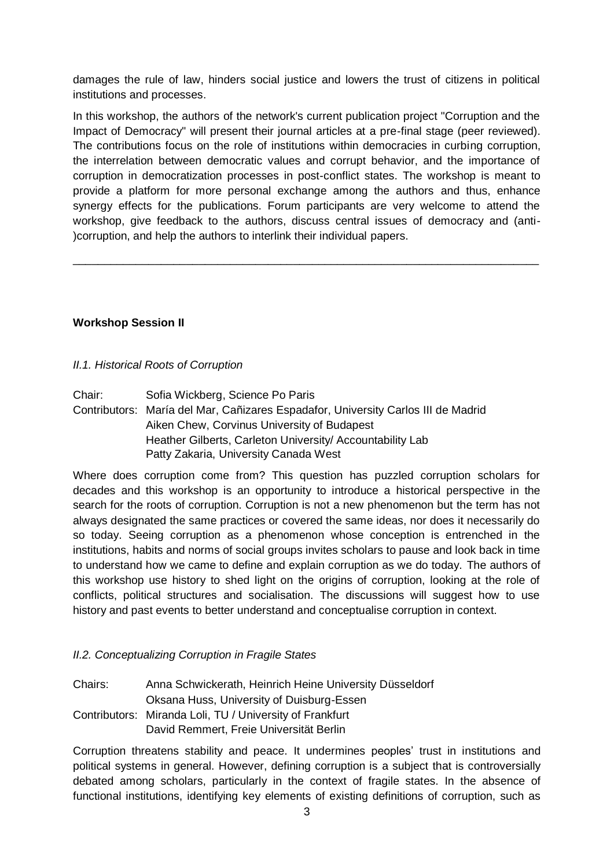damages the rule of law, hinders social justice and lowers the trust of citizens in political institutions and processes.

In this workshop, the authors of the network's current publication project "Corruption and the Impact of Democracy" will present their journal articles at a pre-final stage (peer reviewed). The contributions focus on the role of institutions within democracies in curbing corruption, the interrelation between democratic values and corrupt behavior, and the importance of corruption in democratization processes in post-conflict states. The workshop is meant to provide a platform for more personal exchange among the authors and thus, enhance synergy effects for the publications. Forum participants are very welcome to attend the workshop, give feedback to the authors, discuss central issues of democracy and (anti- )corruption, and help the authors to interlink their individual papers.

\_\_\_\_\_\_\_\_\_\_\_\_\_\_\_\_\_\_\_\_\_\_\_\_\_\_\_\_\_\_\_\_\_\_\_\_\_\_\_\_\_\_\_\_\_\_\_\_\_\_\_\_\_\_\_\_\_\_\_\_\_\_\_\_\_\_\_\_\_\_\_\_\_\_

## **Workshop Session II**

### *II.1. Historical Roots of Corruption*

Chair: Sofia Wickberg, Science Po Paris Contributors: María del Mar, Cañizares Espadafor, University Carlos III de Madrid Aiken Chew, Corvinus University of Budapest Heather Gilberts, Carleton University/ Accountability Lab Patty Zakaria, University Canada West

Where does corruption come from? This question has puzzled corruption scholars for decades and this workshop is an opportunity to introduce a historical perspective in the search for the roots of corruption. Corruption is not a new phenomenon but the term has not always designated the same practices or covered the same ideas, nor does it necessarily do so today. Seeing corruption as a phenomenon whose conception is entrenched in the institutions, habits and norms of social groups invites scholars to pause and look back in time to understand how we came to define and explain corruption as we do today. The authors of this workshop use history to shed light on the origins of corruption, looking at the role of conflicts, political structures and socialisation. The discussions will suggest how to use history and past events to better understand and conceptualise corruption in context.

# *II.2. Conceptualizing Corruption in Fragile States*

Chairs: Anna Schwickerath, Heinrich Heine University Düsseldorf Oksana Huss, University of Duisburg-Essen Contributors: Miranda Loli, TU / University of Frankfurt David Remmert, Freie Universität Berlin

Corruption threatens stability and peace. It undermines peoples' trust in institutions and political systems in general. However, defining corruption is a subject that is controversially debated among scholars, particularly in the context of fragile states. In the absence of functional institutions, identifying key elements of existing definitions of corruption, such as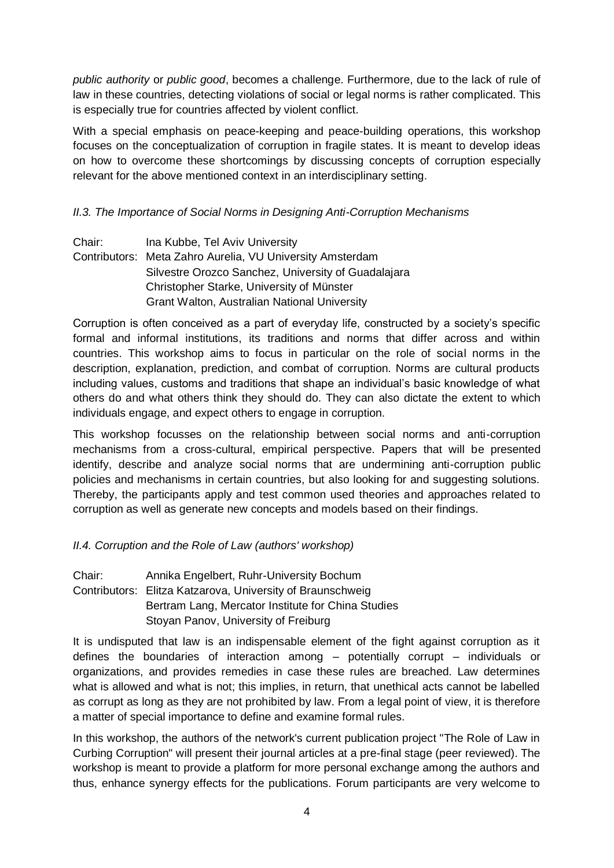*public authority* or *public good*, becomes a challenge. Furthermore, due to the lack of rule of law in these countries, detecting violations of social or legal norms is rather complicated. This is especially true for countries affected by violent conflict.

With a special emphasis on peace-keeping and peace-building operations, this workshop focuses on the conceptualization of corruption in fragile states. It is meant to develop ideas on how to overcome these shortcomings by discussing concepts of corruption especially relevant for the above mentioned context in an interdisciplinary setting.

# *II.3. The Importance of Social Norms in Designing Anti-Corruption Mechanisms*

| Chair: | Ina Kubbe, Tel Aviv University                            |
|--------|-----------------------------------------------------------|
|        | Contributors: Meta Zahro Aurelia, VU University Amsterdam |
|        | Silvestre Orozco Sanchez, University of Guadalajara       |
|        | Christopher Starke, University of Münster                 |
|        | <b>Grant Walton, Australian National University</b>       |

Corruption is often conceived as a part of everyday life, constructed by a society's specific formal and informal institutions, its traditions and norms that differ across and within countries. This workshop aims to focus in particular on the role of social norms in the description, explanation, prediction, and combat of corruption. Norms are cultural products including values, customs and traditions that shape an individual's basic knowledge of what others do and what others think they should do. They can also dictate the extent to which individuals engage, and expect others to engage in corruption.

This workshop focusses on the relationship between social norms and anti-corruption mechanisms from a cross-cultural, empirical perspective. Papers that will be presented identify, describe and analyze social norms that are undermining anti-corruption public policies and mechanisms in certain countries, but also looking for and suggesting solutions. Thereby, the participants apply and test common used theories and approaches related to corruption as well as generate new concepts and models based on their findings.

# *II.4. Corruption and the Role of Law (authors' workshop)*

Chair: Annika Engelbert, Ruhr-University Bochum Contributors: Elitza Katzarova, University of Braunschweig Bertram Lang, Mercator Institute for China Studies Stoyan Panov, University of Freiburg

It is undisputed that law is an indispensable element of the fight against corruption as it defines the boundaries of interaction among – potentially corrupt – individuals or organizations, and provides remedies in case these rules are breached. Law determines what is allowed and what is not; this implies, in return, that unethical acts cannot be labelled as corrupt as long as they are not prohibited by law. From a legal point of view, it is therefore a matter of special importance to define and examine formal rules.

In this workshop, the authors of the network's current publication project "The Role of Law in Curbing Corruption" will present their journal articles at a pre-final stage (peer reviewed). The workshop is meant to provide a platform for more personal exchange among the authors and thus, enhance synergy effects for the publications. Forum participants are very welcome to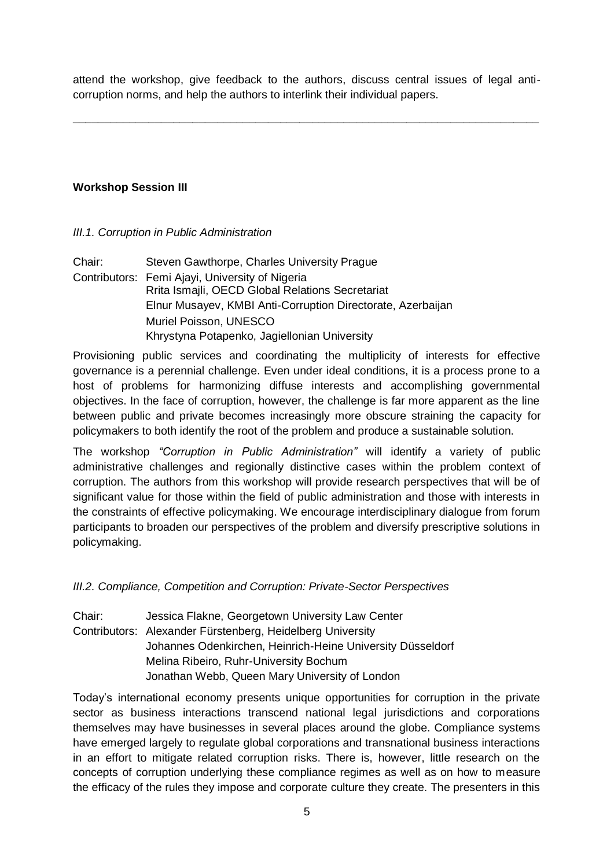attend the workshop, give feedback to the authors, discuss central issues of legal anticorruption norms, and help the authors to interlink their individual papers.

**\_\_\_\_\_\_\_\_\_\_\_\_\_\_\_\_\_\_\_\_\_\_\_\_\_\_\_\_\_\_\_\_\_\_\_\_\_\_\_\_\_\_\_\_\_\_\_\_\_\_\_\_\_\_\_\_\_\_\_\_\_\_\_\_\_\_\_\_\_\_\_\_\_\_**

# **Workshop Session III**

### *III.1. Corruption in Public Administration*

Chair: Steven Gawthorpe, Charles University Prague Contributors: Femi Ajayi, University of Nigeria Rrita Ismajli, OECD Global Relations Secretariat Elnur Musayev, KMBI Anti-Corruption Directorate, Azerbaijan Muriel Poisson, UNESCO Khrystyna Potapenko, Jagiellonian University

Provisioning public services and coordinating the multiplicity of interests for effective governance is a perennial challenge. Even under ideal conditions, it is a process prone to a host of problems for harmonizing diffuse interests and accomplishing governmental objectives. In the face of corruption, however, the challenge is far more apparent as the line between public and private becomes increasingly more obscure straining the capacity for policymakers to both identify the root of the problem and produce a sustainable solution.

The workshop *"Corruption in Public Administration"* will identify a variety of public administrative challenges and regionally distinctive cases within the problem context of corruption. The authors from this workshop will provide research perspectives that will be of significant value for those within the field of public administration and those with interests in the constraints of effective policymaking. We encourage interdisciplinary dialogue from forum participants to broaden our perspectives of the problem and diversify prescriptive solutions in policymaking.

*III.2. Compliance, Competition and Corruption: Private-Sector Perspectives*

Chair: Jessica Flakne, Georgetown University Law Center Contributors: Alexander Fürstenberg, Heidelberg University Johannes Odenkirchen, Heinrich-Heine University Düsseldorf Melina Ribeiro, Ruhr-University Bochum Jonathan Webb, Queen Mary University of London

Today's international economy presents unique opportunities for corruption in the private sector as business interactions transcend national legal jurisdictions and corporations themselves may have businesses in several places around the globe. Compliance systems have emerged largely to regulate global corporations and transnational business interactions in an effort to mitigate related corruption risks. There is, however, little research on the concepts of corruption underlying these compliance regimes as well as on how to measure the efficacy of the rules they impose and corporate culture they create. The presenters in this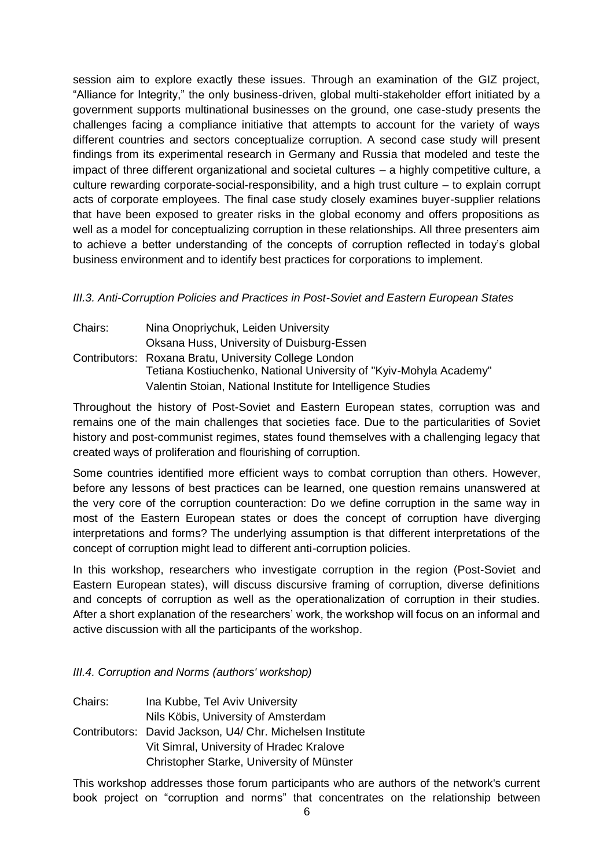session aim to explore exactly these issues. Through an examination of the GIZ project, "Alliance for Integrity," the only business-driven, global multi-stakeholder effort initiated by a government supports multinational businesses on the ground, one case-study presents the challenges facing a compliance initiative that attempts to account for the variety of ways different countries and sectors conceptualize corruption. A second case study will present findings from its experimental research in Germany and Russia that modeled and teste the impact of three different organizational and societal cultures – a highly competitive culture, a culture rewarding corporate-social-responsibility, and a high trust culture – to explain corrupt acts of corporate employees. The final case study closely examines buyer-supplier relations that have been exposed to greater risks in the global economy and offers propositions as well as a model for conceptualizing corruption in these relationships. All three presenters aim to achieve a better understanding of the concepts of corruption reflected in today's global business environment and to identify best practices for corporations to implement.

## *III.3. Anti-Corruption Policies and Practices in Post-Soviet and Eastern European States*

| Chairs: | Nina Onopriychuk, Leiden University                                |
|---------|--------------------------------------------------------------------|
|         | Oksana Huss, University of Duisburg-Essen                          |
|         | Contributors: Roxana Bratu, University College London              |
|         | Tetiana Kostiuchenko, National University of "Kyiv-Mohyla Academy" |
|         | Valentin Stoian, National Institute for Intelligence Studies       |

Throughout the history of Post-Soviet and Eastern European states, corruption was and remains one of the main challenges that societies face. Due to the particularities of Soviet history and post-communist regimes, states found themselves with a challenging legacy that created ways of proliferation and flourishing of corruption.

Some countries identified more efficient ways to combat corruption than others. However, before any lessons of best practices can be learned, one question remains unanswered at the very core of the corruption counteraction: Do we define corruption in the same way in most of the Eastern European states or does the concept of corruption have diverging interpretations and forms? The underlying assumption is that different interpretations of the concept of corruption might lead to different anti-corruption policies.

In this workshop, researchers who investigate corruption in the region (Post-Soviet and Eastern European states), will discuss discursive framing of corruption, diverse definitions and concepts of corruption as well as the operationalization of corruption in their studies. After a short explanation of the researchers' work, the workshop will focus on an informal and active discussion with all the participants of the workshop.

# *III.4. Corruption and Norms (authors' workshop)*

Chairs: Ina Kubbe, Tel Aviv University Nils Köbis, University of Amsterdam Contributors: David Jackson, U4/ Chr. Michelsen Institute Vit Simral, University of Hradec Kralove Christopher Starke, University of Münster

This workshop addresses those forum participants who are authors of the network's current book project on "corruption and norms" that concentrates on the relationship between